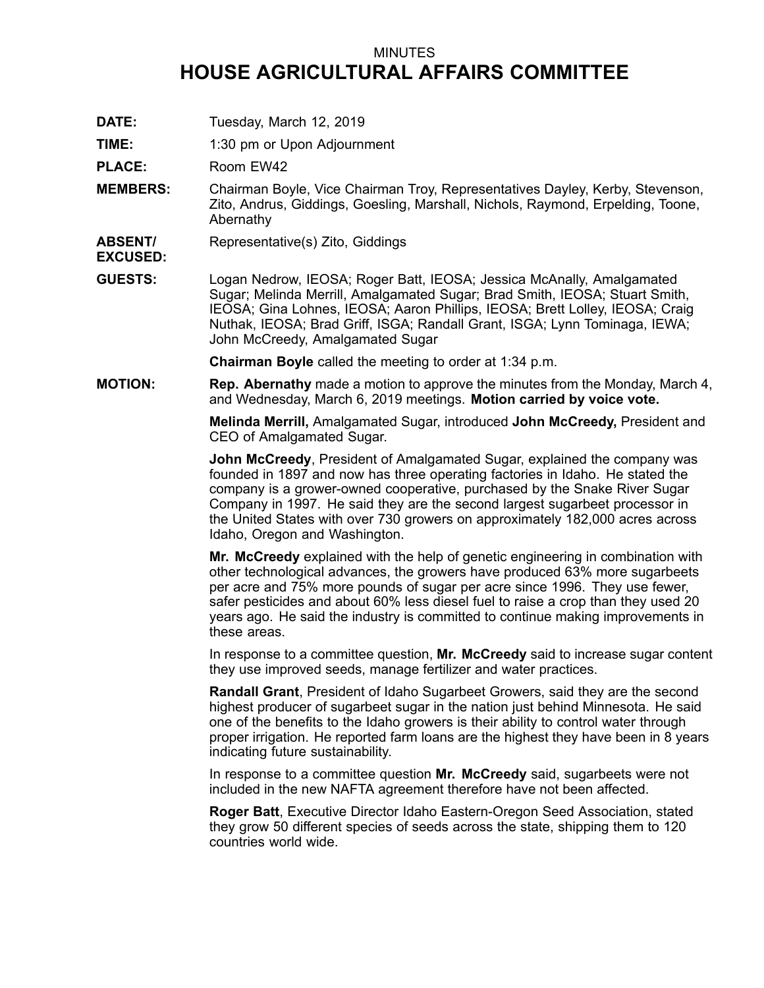## MINUTES **HOUSE AGRICULTURAL AFFAIRS COMMITTEE**

- **DATE:** Tuesday, March 12, 2019
- **TIME:** 1:30 pm or Upon Adjournment

PLACE: Room EW42

- **MEMBERS:** Chairman Boyle, Vice Chairman Troy, Representatives Dayley, Kerby, Stevenson, Zito, Andrus, Giddings, Goesling, Marshall, Nichols, Raymond, Erpelding, Toone, Abernathy
- **ABSENT/** Representative(s) Zito, Giddings
- **EXCUSED:**
- **GUESTS:** Logan Nedrow, IEOSA; Roger Batt, IEOSA; Jessica McAnally, Amalgamated Sugar; Melinda Merrill, Amalgamated Sugar; Brad Smith, IEOSA; Stuart Smith, IEOSA; Gina Lohnes, IEOSA; Aaron Phillips, IEOSA; Brett Lolley, IEOSA; Craig Nuthak, IEOSA; Brad Griff, ISGA; Randall Grant, ISGA; Lynn Tominaga, IEWA; John McCreedy, Amalgamated Sugar

**Chairman Boyle** called the meeting to order at 1:34 p.m.

**MOTION: Rep. Abernathy** made <sup>a</sup> motion to approve the minutes from the Monday, March 4, and Wednesday, March 6, 2019 meetings. **Motion carried by voice vote.**

> **Melinda Merrill,** Amalgamated Sugar, introduced **John McCreedy,** President and CEO of Amalgamated Sugar.

**John McCreedy**, President of Amalgamated Sugar, explained the company was founded in 1897 and now has three operating factories in Idaho. He stated the company is <sup>a</sup> grower-owned cooperative, purchased by the Snake River Sugar Company in 1997. He said they are the second largest sugarbeet processor in the United States with over 730 growers on approximately 182,000 acres across Idaho, Oregon and Washington.

**Mr. McCreedy** explained with the help of genetic engineering in combination with other technological advances, the growers have produced 63% more sugarbeets per acre and 75% more pounds of sugar per acre since 1996. They use fewer, safer pesticides and about 60% less diesel fuel to raise <sup>a</sup> crop than they used 20 years ago. He said the industry is committed to continue making improvements in these areas.

In response to <sup>a</sup> committee question, **Mr. McCreedy** said to increase sugar content they use improved seeds, manage fertilizer and water practices.

**Randall Grant**, President of Idaho Sugarbeet Growers, said they are the second highest producer of sugarbeet sugar in the nation just behind Minnesota. He said one of the benefits to the Idaho growers is their ability to control water through proper irrigation. He reported farm loans are the highest they have been in 8 years indicating future sustainability.

In response to <sup>a</sup> committee question **Mr. McCreedy** said, sugarbeets were not included in the new NAFTA agreement therefore have not been affected.

**Roger Batt**, Executive Director Idaho Eastern-Oregon Seed Association, stated they grow 50 different species of seeds across the state, shipping them to 120 countries world wide.